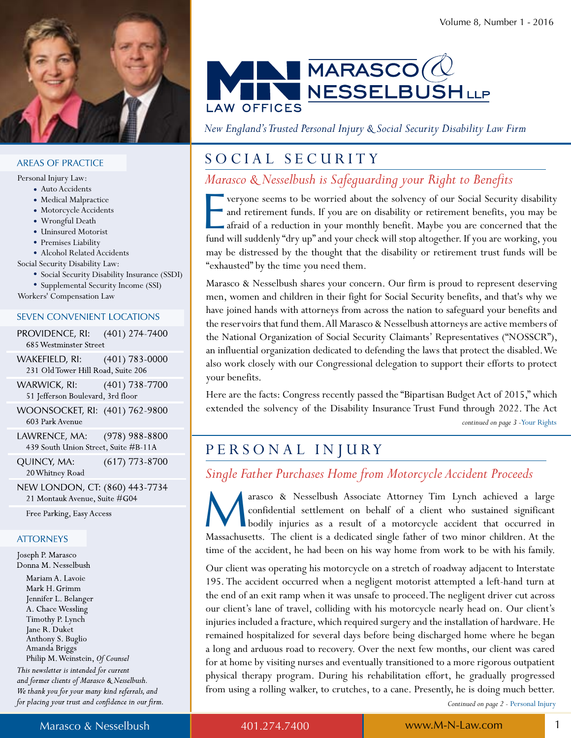

#### **AREAS OF PRACTICE**

Personal Injury Law:

- Auto Accidents
- Medical Malpractice
- Motorcycle Accidents
- Wrongful Death
- Uninsured Motorist
- Premises Liability
- Alcohol Related Accidents

Social Security Disability Law:

- Social Security Disability Insurance (SSDI)
- Supplemental Security Income (SSI)

Workers' Compensation Law

#### **SEVEN CONVENIENT LOCATIONS**

PROVIDENCE, RI:  $(401)$  274-7400 685 Westminster Street

WAKEFIELD, RI:  $(401)$  783-0000 231 Old Tower Hill Road, Suite 206

- WARWICK, RI:  $(401)$  738-7700 51 Jefferson Boulevard, 3rd floor
- WOONSOCKET, RI: (401) 762-9800 603 Park Avenue
- LAWRENCE, MA:  $(978)$  988-8800 439 South Union Street, Suite #B-11A

 $(617)$  773-8700 QUINCY, MA: 20 Whitney Road

NEW LONDON, CT: (860) 443-7734 21 Montauk Avenue, Suite #G04

Free Parking, Easy Access

#### **ATTORNEYS**

Joseph P. Marasco Donna M. Nesselbush

Mariam A. Lavoie Mark H. Grimm Jennifer L. Belanger A. Chace Wessling Timothy P. Lynch Jane R. Duket Anthony S. Buglio Amanda Briggs Philip M. Weinstein, Of Counsel This newsletter is intended for current

and former clients of Marasco & Nesselbush. We thank you for your many kind referrals, and for placing your trust and confidence in our firm.



*New England's Trusted Personal Injury & Social Security Disability Law Firm*

# SOCIAL SECURITY

*Marasco & Nesselbush is Safeguarding your Right to Benefits* 

veryone seems to be worried about the solvency of our Social Security disability and retirement funds. If you are on disability or retirement benefits, you may be afraid of a reduction in your monthly benefit. Maybe you ar veryone seems to be worried about the solvency of our Social Security disability and retirement funds. If you are on disability or retirement benefits, you may be afraid of a reduction in your monthly benefit. Maybe you are concerned that the may be distressed by the thought that the disability or retirement trust funds will be "exhausted" by the time you need them.

Marasco & Nesselbush shares your concern. Our firm is proud to represent deserving men, women and children in their fight for Social Security benefits, and that's why we have joined hands with attorneys from across the nation to safeguard your benefits and the reservoirs that fund them. All Marasco & Nesselbush attorneys are active members of the National Organization of Social Security Claimants' Representatives ("NOSSCR"), an influential organization dedicated to defending the laws that protect the disabled. We also work closely with our Congressional delegation to support their efforts to protect your benefits.

*continued on page 3 -*Your Rights Here are the facts: Congress recently passed the "Bipartisan Budget Act of 2015," which extended the solvency of the Disability Insurance Trust Fund through 2022. The Act

# PERSONAL INJURY

## *Single Father Purchases Home from Motorcycle Accident Proceeds*

arasco & Nesselbush Associate Attorney Tim Lynch achieved a large confidential settlement on behalf of a client who sustained significant bodily injuries as a result of a motorcycle accident that occurred in Massachusetts. arasco & Nesselbush Associate Attorney Tim Lynch achieved a large confidential settlement on behalf of a client who sustained significant bodily injuries as a result of a motorcycle accident that occurred in time of the accident, he had been on his way home from work to be with his family.

Our client was operating his motorcycle on a stretch of roadway adjacent to Interstate 195. The accident occurred when a negligent motorist attempted a left-hand turn at the end of an exit ramp when it was unsafe to proceed. The negligent driver cut across our client's lane of travel, colliding with his motorcycle nearly head on. Our client's injuries included a fracture, which required surgery and the installation of hardware. He remained hospitalized for several days before being discharged home where he began a long and arduous road to recovery. Over the next few months, our client was cared for at home by visiting nurses and eventually transitioned to a more rigorous outpatient physical therapy program. During his rehabilitation effort, he gradually progressed from using a rolling walker, to crutches, to a cane. Presently, he is doing much better.

*Continued on page 2 -* Personal Injury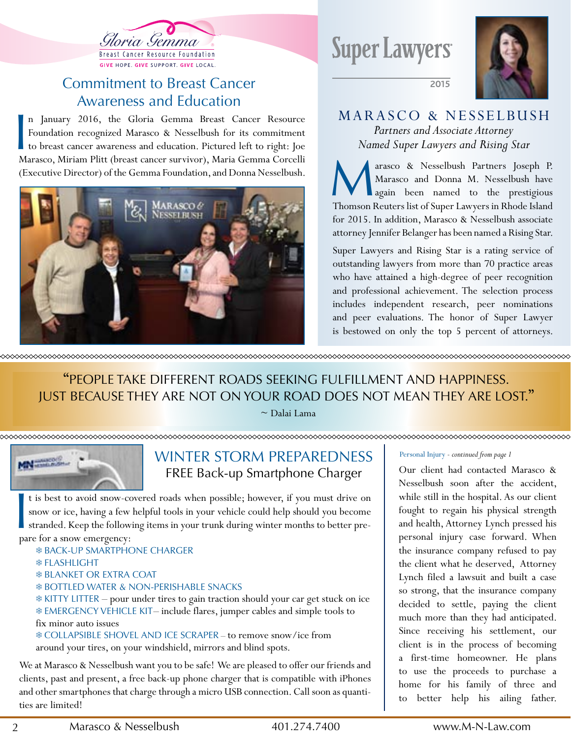

# **Commitment to Breast Cancer** awareness and Education

n January 2016, the Gloria Gemma Breast Cancer Resource<br>Foundation recognized Marasco & Nesselbush for its commitment<br>to breast cancer awareness and education. Pictured left to right: Joe<br>Marasco, Miriam Plitt (breast canc n January 2016, the Gloria Gemma Breast Cancer Resource Foundation recognized Marasco & Nesselbush for its commitment to breast cancer awareness and education. Pictured left to right: Joe (Executive Director) of the Gemma Foundation, and Donna Nesselbush.



**Super Lawyers** 



### MARASCO & NESSELBUSH *Partners and Associate Attorney Named Super Lawyers and Rising Star*

2015

Marasco & Nesselbush Partners Joseph P.<br>Marasco and Donna M. Nesselbush have<br>Thomson Reuters list of Super Lawyers in Rhode Island arasco & Nesselbush Partners Joseph P. Marasco and Donna M. Nesselbush have again been named to the prestigious for 2015. In addition, Marasco & Nesselbush associate attorney Jennifer Belanger has been named a Rising Star.

Super Lawyers and Rising Star is a rating service of outstanding lawyers from more than 70 practice areas who have attained a high-degree of peer recognition and professional achievement. The selection process includes independent research, peer nominations and peer evaluations. The honor of Super Lawyer is bestowed on only the top 5 percent of attorneys.

"PEoPlE takE diffErENt roads sEEkiNg fulfillMENt aNd haPPiNEss. Just bEcausE thEy arE Not oN your road doEs Not MEaN thEy arE lost."

 $\sim$  Dalai Lama

#### xxxxxxxxxxxxxxxxxxxxxxxxxxxx



# WINTER STORM PREPAREDNESS frEE back-up smartphone charger

t is best to avoid snow-console snow or ice, having a few stranded. Keep the follow pare for a snow emergency: t is best to avoid snow-covered roads when possible; however, if you must drive on snow or ice, having a few helpful tools in your vehicle could help should you become stranded. Keep the following items in your trunk during winter months to better pre-

- ❄ back-uP sMartPhoNE chargEr
- ❄ flashlight
- ❄ blaNkEt or Extra coat
- ❄ bottlEd WatEr & NoN-PErishablE sNacks

❄ kitty littEr – pour under tires to gain traction should your car get stuck on ice ❄ EMErgENcy VEhiclE kit – include flares, jumper cables and simple tools to fix minor auto issues

❄ collaPsiblE shoVEl aNd icE scraPEr – to remove snow/ice from around your tires, on your windshield, mirrors and blind spots.

We at Marasco & Nesselbush want you to be safe! We are pleased to offer our friends and clients, past and present, a free back-up phone charger that is compatible with iPhones and other smartphones that charge through a micro USB connection. Call soon as quantities are limited!

#### Personal Injury - *continued from page 1*

Our client had contacted Marasco & Nesselbush soon after the accident, while still in the hospital. As our client fought to regain his physical strength and health, Attorney Lynch pressed his personal injury case forward. When the insurance company refused to pay the client what he deserved, Attorney Lynch filed a lawsuit and built a case so strong, that the insurance company decided to settle, paying the client much more than they had anticipated. Since receiving his settlement, our client is in the process of becoming a first-time homeowner. He plans to use the proceeds to purchase a home for his family of three and to better help his ailing father.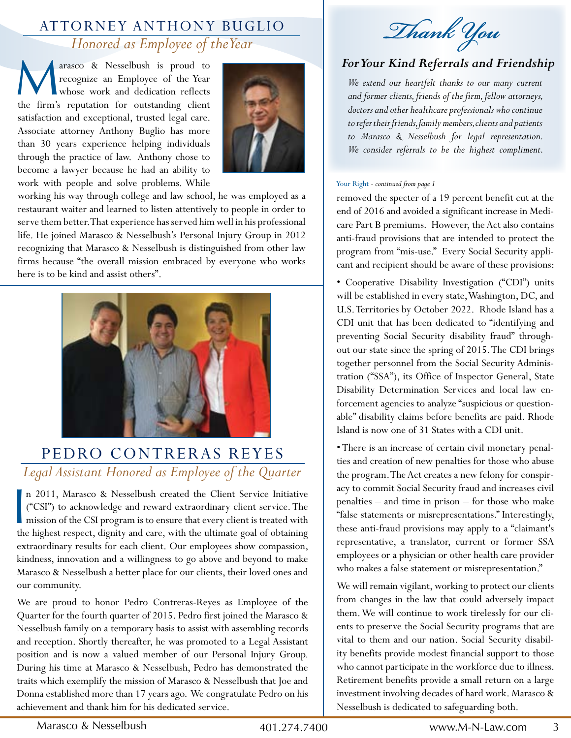# ATTORNEY ANTHONY BUGLIO *Honored as Employee of the Year*

**M** arasco & Nesselbush is proud to recognize an Employee of the Year whose work and dedication reflects the firm's reputation for outstanding client arasco & Nesselbush is proud to recognize an Employee of the Year whose work and dedication reflects satisfaction and exceptional, trusted legal care. Associate attorney Anthony Buglio has more than 30 years experience helping individuals through the practice of law. Anthony chose to become a lawyer because he had an ability to work with people and solve problems. While



working his way through college and law school, he was employed as a restaurant waiter and learned to listen attentively to people in order to serve them better. That experience has served him well in his professional life. He joined Marasco & Nesselbush's Personal Injury Group in 2012 recognizing that Marasco & Nesselbush is distinguished from other law firms because "the overall mission embraced by everyone who works here is to be kind and assist others".



# PEDRO CONTRERAS REYES *Legal Assistant Honored as Employee of the Quarter*

n 2011, Marasco & Nesselbush created the Client Service Initiative ("CSI") to acknowledge and reward extraordinary client service. The mission of the CSI program is to ensure that every client is treated with the highest r n 2011, Marasco & Nesselbush created the Client Service Initiative ("CSI") to acknowledge and reward extraordinary client service. The mission of the CSI program is to ensure that every client is treated with extraordinary results for each client. Our employees show compassion, kindness, innovation and a willingness to go above and beyond to make Marasco & Nesselbush a better place for our clients, their loved ones and our community.

We are proud to honor Pedro Contreras-Reyes as Employee of the Quarter for the fourth quarter of 2015. Pedro first joined the Marasco & Nesselbush family on a temporary basis to assist with assembling records and reception. Shortly thereafter, he was promoted to a Legal Assistant position and is now a valued member of our Personal Injury Group. During his time at Marasco & Nesselbush, Pedro has demonstrated the traits which exemplify the mission of Marasco & Nesselbush that Joe and Donna established more than 17 years ago. We congratulate Pedro on his achievement and thank him for his dedicated service.

Thank You

### *For Your Kind Referrals and Friendship*

*We extend our heartfelt thanks to our many current and former clients, friends of the firm, fellow attorneys, doctors and other healthcare professionals who continue to refer their friends, family members, clients and patients to Marasco & Nesselbush for legal representation. We consider referrals to be the highest compliment.* 

#### Your Right - *continued from page 1*

removed the specter of a 19 percent benefit cut at the end of 2016 and avoided a significant increase in Medicare Part B premiums. However, the Act also contains anti-fraud provisions that are intended to protect the program from "mis-use." Every Social Security applicant and recipient should be aware of these provisions:

• Cooperative Disability Investigation ("CDI") units will be established in every state, Washington, DC, and U.S. Territories by October 2022. Rhode Island has a CDI unit that has been dedicated to "identifying and preventing Social Security disability fraud" throughout our state since the spring of 2015. The CDI brings together personnel from the Social Security Administration ("SSA"), its Office of Inspector General, State Disability Determination Services and local law enforcement agencies to analyze "suspicious or questionable" disability claims before benefits are paid. Rhode Island is now one of 31 States with a CDI unit.

• There is an increase of certain civil monetary penalties and creation of new penalties for those who abuse the program. The Act creates a new felony for conspiracy to commit Social Security fraud and increases civil penalties – and time in prison – for those who make "false statements or misrepresentations." Interestingly, these anti-fraud provisions may apply to a "claimant's representative, a translator, current or former SSA employees or a physician or other health care provider who makes a false statement or misrepresentation."

We will remain vigilant, working to protect our clients from changes in the law that could adversely impact them. We will continue to work tirelessly for our clients to preserve the Social Security programs that are vital to them and our nation. Social Security disability benefits provide modest financial support to those who cannot participate in the workforce due to illness. Retirement benefits provide a small return on a large investment involving decades of hard work. Marasco & Nesselbush is dedicated to safeguarding both.